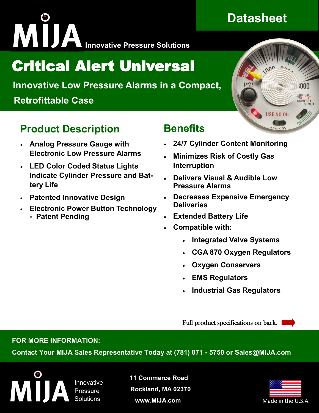## **Datasheet**

# **INNOVA EXECUTE IN A Innovative Pressure Solutions**

# Critical Alert Universal

 **Innovative Low Pressure Alarms in a Compact,** 

#### **Retrofittable Case**



### **Product Description**

- **Analog Pressure Gauge with Electronic Low Pressure Alarms**
- **LED Color Coded Status Lights Indicate Cylinder Pressure and Battery Life**
- **Patented Innovative Design**
- **Electronic Power Button Technology - Patent Pending**

#### **Benefits**

- **24/7 Cylinder Content Monitoring**
- **Minimizes Risk of Costly Gas Interruption**
- **Delivers Visual & Audible Low Pressure Alarms**
- **Decreases Expensive Emergency Deliveries**
- **Extended Battery Life**
- **Compatible with:** 
	- **Integrated Valve Systems**
	- **CGA 870 Oxygen Regulators**
	- **Oxygen Conservers**
	- **EMS Regulators**
	- **Industrial Gas Regulators**

Full product specifications on back.

#### **FOR MORE INFORMATION:**

**Contact Your MIJA Sales Representative Today at (781) 871 - 5750 or Sales@MIJA.com**

Innovative **Pressure Solutions** 

**11 Commerce Road Rockland, MA 02370 www.MIJA.com**